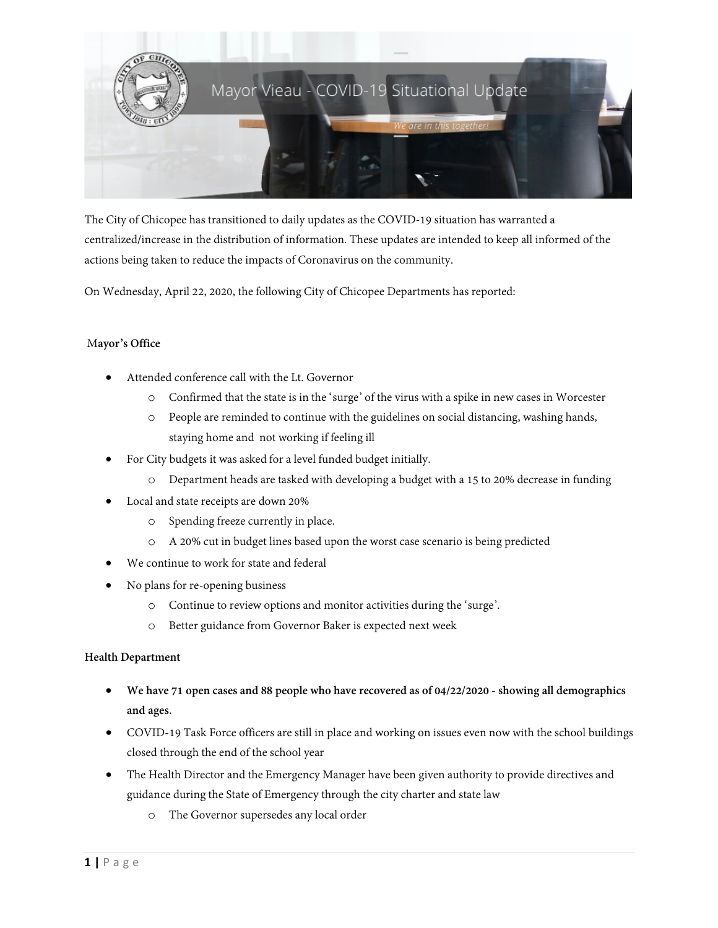

The City of Chicopee has transitioned to daily updates as the COVID-19 situation has warranted a centralized/increase in the distribution of information. These updates are intended to keep all informed of the actions being taken to reduce the impacts of Coronavirus on the community.

On Wednesday, April 22, 2020, the following City of Chicopee Departments has reported:

# M**ayor's Office**

- Attended conference call with the Lt. Governor
	- o Confirmed that the state is in the 'surge' of the virus with a spike in new cases in Worcester
	- o People are reminded to continue with the guidelines on social distancing, washing hands, staying home and not working if feeling ill
- For City budgets it was asked for a level funded budget initially.
	- o Department heads are tasked with developing a budget with a 15 to 20% decrease in funding
- Local and state receipts are down 20%
	- o Spending freeze currently in place.
	- o A 20% cut in budget lines based upon the worst case scenario is being predicted
- We continue to work for state and federal
- No plans for re-opening business
	- o Continue to review options and monitor activities during the 'surge'.
	- o Better guidance from Governor Baker is expected next week

# **Health Department**

- **We have 71 open cases and 88 people who have recovered as of 04/22/2020 - showing all demographics and ages.**
- COVID-19 Task Force officers are still in place and working on issues even now with the school buildings closed through the end of the school year
- The Health Director and the Emergency Manager have been given authority to provide directives and guidance during the State of Emergency through the city charter and state law
	- o The Governor supersedes any local order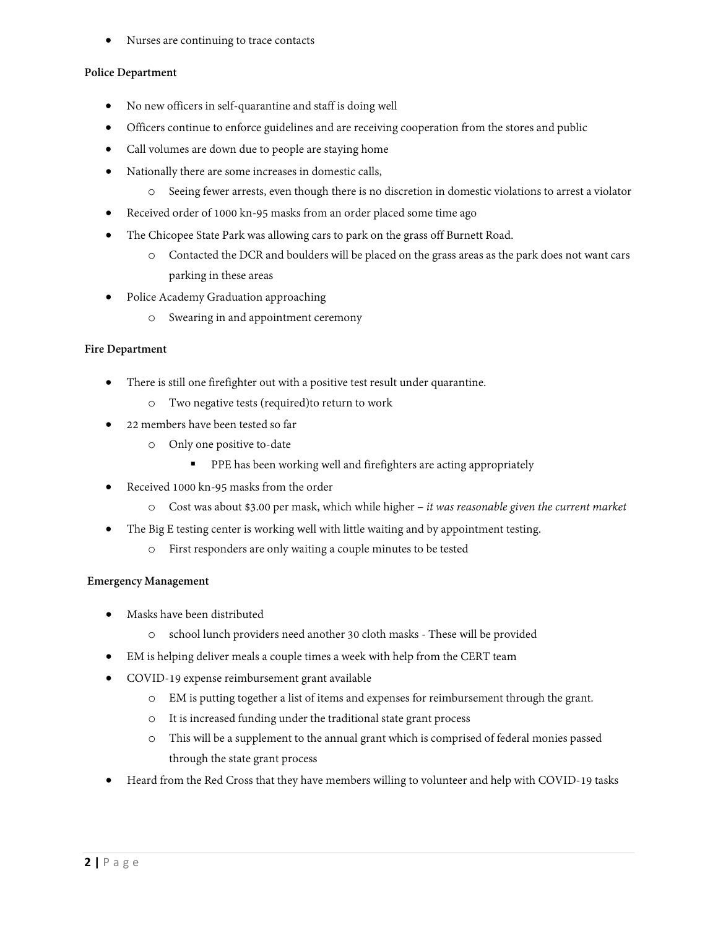• Nurses are continuing to trace contacts

## **Police Department**

- No new officers in self-quarantine and staff is doing well
- Officers continue to enforce guidelines and are receiving cooperation from the stores and public
- Call volumes are down due to people are staying home
- Nationally there are some increases in domestic calls,
	- o Seeing fewer arrests, even though there is no discretion in domestic violations to arrest a violator
- Received order of 1000 kn-95 masks from an order placed some time ago
- The Chicopee State Park was allowing cars to park on the grass off Burnett Road.
	- o Contacted the DCR and boulders will be placed on the grass areas as the park does not want cars parking in these areas
- Police Academy Graduation approaching
	- o Swearing in and appointment ceremony

## **Fire Department**

- There is still one firefighter out with a positive test result under quarantine.
	- o Two negative tests (required)to return to work
- 22 members have been tested so far
	- o Only one positive to-date
		- **PPE** has been working well and firefighters are acting appropriately
- Received 1000 kn-95 masks from the order
	- o Cost was about \$3.00 per mask, which while higher *it was reasonable given the current market*
- The Big E testing center is working well with little waiting and by appointment testing.
	- o First responders are only waiting a couple minutes to be tested

# **Emergency Management**

- Masks have been distributed
	- o school lunch providers need another 30 cloth masks These will be provided
- EM is helping deliver meals a couple times a week with help from the CERT team
- COVID-19 expense reimbursement grant available
	- o EM is putting together a list of items and expenses for reimbursement through the grant.
	- o It is increased funding under the traditional state grant process
	- o This will be a supplement to the annual grant which is comprised of federal monies passed through the state grant process
- Heard from the Red Cross that they have members willing to volunteer and help with COVID-19 tasks